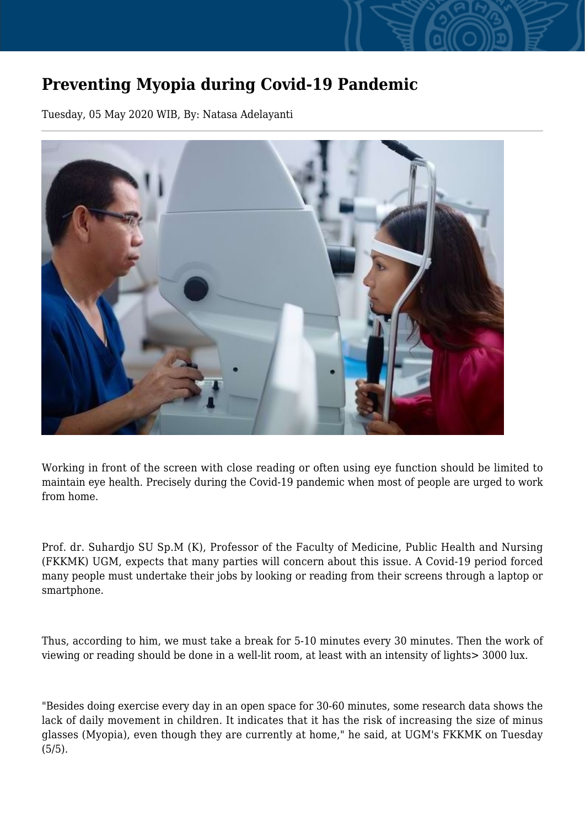## **Preventing Myopia during Covid-19 Pandemic**

Tuesday, 05 May 2020 WIB, By: Natasa Adelayanti



Working in front of the screen with close reading or often using eye function should be limited to maintain eye health. Precisely during the Covid-19 pandemic when most of people are urged to work from home.

Prof. dr. Suhardjo SU Sp.M (K), Professor of the Faculty of Medicine, Public Health and Nursing (FKKMK) UGM, expects that many parties will concern about this issue. A Covid-19 period forced many people must undertake their jobs by looking or reading from their screens through a laptop or smartphone.

Thus, according to him, we must take a break for 5-10 minutes every 30 minutes. Then the work of viewing or reading should be done in a well-lit room, at least with an intensity of lights> 3000 lux.

"Besides doing exercise every day in an open space for 30-60 minutes, some research data shows the lack of daily movement in children. It indicates that it has the risk of increasing the size of minus glasses (Myopia), even though they are currently at home," he said, at UGM's FKKMK on Tuesday (5/5).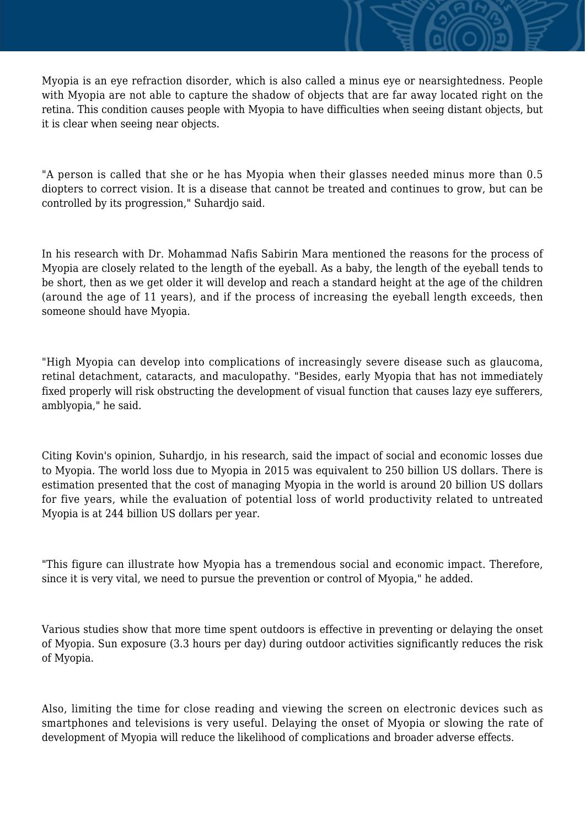Myopia is an eye refraction disorder, which is also called a minus eye or nearsightedness. People with Myopia are not able to capture the shadow of objects that are far away located right on the retina. This condition causes people with Myopia to have difficulties when seeing distant objects, but it is clear when seeing near objects.

"A person is called that she or he has Myopia when their glasses needed minus more than 0.5 diopters to correct vision. It is a disease that cannot be treated and continues to grow, but can be controlled by its progression," Suhardjo said.

In his research with Dr. Mohammad Nafis Sabirin Mara mentioned the reasons for the process of Myopia are closely related to the length of the eyeball. As a baby, the length of the eyeball tends to be short, then as we get older it will develop and reach a standard height at the age of the children (around the age of 11 years), and if the process of increasing the eyeball length exceeds, then someone should have Myopia.

"High Myopia can develop into complications of increasingly severe disease such as glaucoma, retinal detachment, cataracts, and maculopathy. "Besides, early Myopia that has not immediately fixed properly will risk obstructing the development of visual function that causes lazy eye sufferers, amblyopia," he said.

Citing Kovin's opinion, Suhardjo, in his research, said the impact of social and economic losses due to Myopia. The world loss due to Myopia in 2015 was equivalent to 250 billion US dollars. There is estimation presented that the cost of managing Myopia in the world is around 20 billion US dollars for five years, while the evaluation of potential loss of world productivity related to untreated Myopia is at 244 billion US dollars per year.

"This figure can illustrate how Myopia has a tremendous social and economic impact. Therefore, since it is very vital, we need to pursue the prevention or control of Myopia," he added.

Various studies show that more time spent outdoors is effective in preventing or delaying the onset of Myopia. Sun exposure (3.3 hours per day) during outdoor activities significantly reduces the risk of Myopia.

Also, limiting the time for close reading and viewing the screen on electronic devices such as smartphones and televisions is very useful. Delaying the onset of Myopia or slowing the rate of development of Myopia will reduce the likelihood of complications and broader adverse effects.